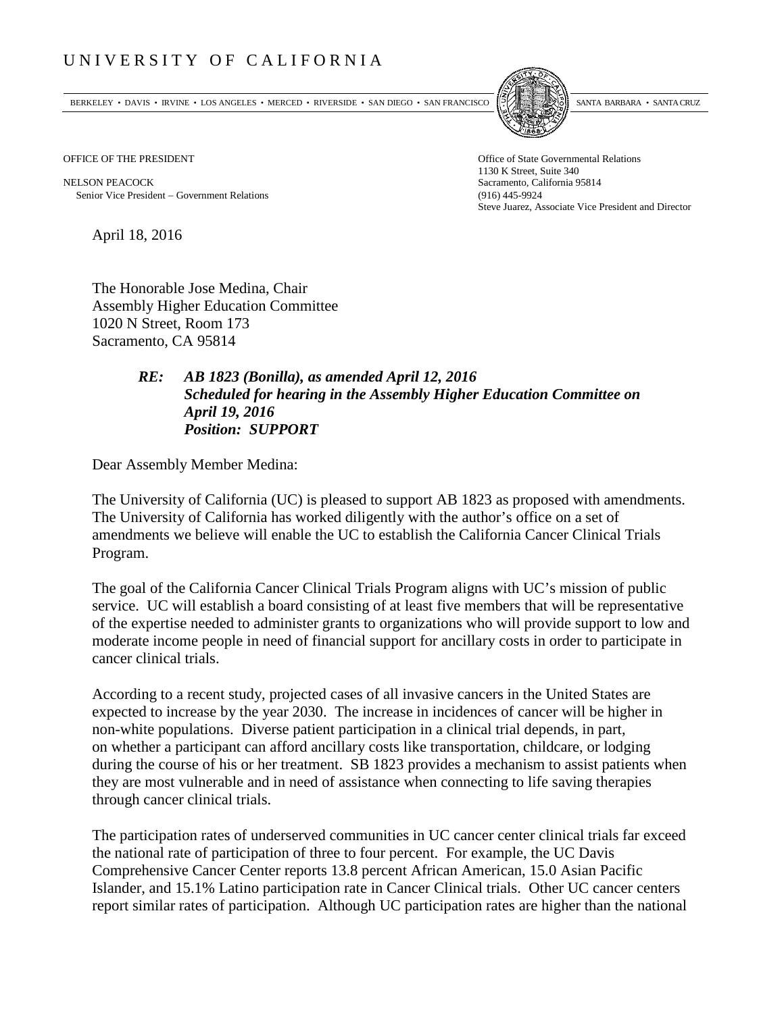## UNIVERSITY OF CALIFORNIA

BERKELEY • DAVIS • IRVINE • LOS ANGELES • MERCED • RIVERSIDE • SAN DIEGO • SAN FRANCISCO [5] SANTA BARBARA • SANTA CRUZ



OFFICE OF THE PRESIDENT STATES OF THE PRESIDENT

NELSON PEACOCK Sacramento, California 95814 Senior Vice President − Government Relations (916) 445-9924

1130 K Street, Suite 340 Steve Juarez, Associate Vice President and Director

April 18, 2016

The Honorable Jose Medina, Chair Assembly Higher Education Committee 1020 N Street, Room 173 Sacramento, CA 95814

## *RE: AB 1823 (Bonilla), as amended April 12, 2016 Scheduled for hearing in the Assembly Higher Education Committee on April 19, 2016 Position: SUPPORT*

Dear Assembly Member Medina:

The University of California (UC) is pleased to support AB 1823 as proposed with amendments. The University of California has worked diligently with the author's office on a set of amendments we believe will enable the UC to establish the California Cancer Clinical Trials Program.

The goal of the California Cancer Clinical Trials Program aligns with UC's mission of public service. UC will establish a board consisting of at least five members that will be representative of the expertise needed to administer grants to organizations who will provide support to low and moderate income people in need of financial support for ancillary costs in order to participate in cancer clinical trials.

According to a recent study, projected cases of all invasive cancers in the United States are expected to increase by the year 2030. The increase in incidences of cancer will be higher in non-white populations. Diverse patient participation in a clinical trial depends, in part, on whether a participant can afford ancillary costs like transportation, childcare, or lodging during the course of his or her treatment. SB 1823 provides a mechanism to assist patients when they are most vulnerable and in need of assistance when connecting to life saving therapies through cancer clinical trials.

The participation rates of underserved communities in UC cancer center clinical trials far exceed the national rate of participation of three to four percent. For example, the UC Davis Comprehensive Cancer Center reports 13.8 percent African American, 15.0 Asian Pacific Islander, and 15.1% Latino participation rate in Cancer Clinical trials. Other UC cancer centers report similar rates of participation. Although UC participation rates are higher than the national